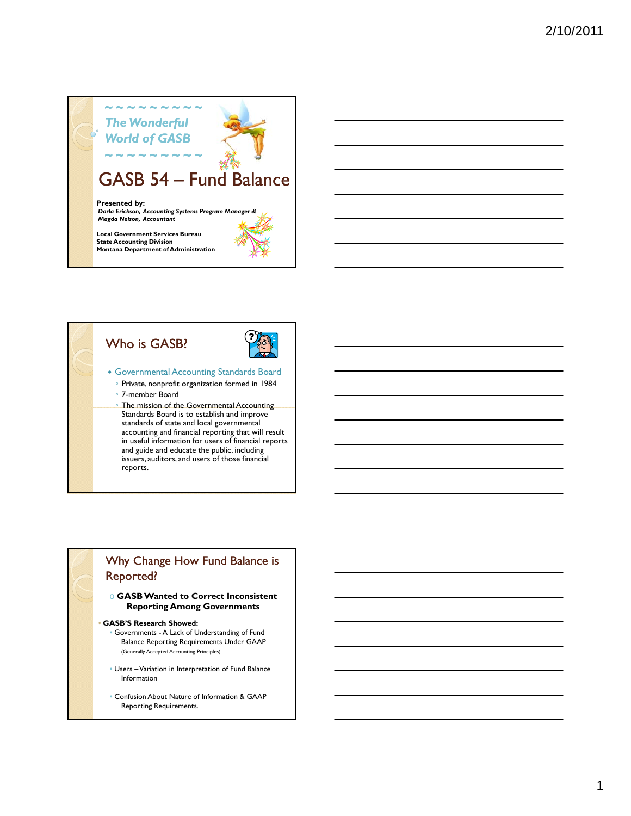



- 
- Governmental Accounting Standards Board ◦ Private, nonprofit organization formed in 1984
	- 7-member Board
	- The mission of the Governmental Accounting Standards Board is to establish and improve standards of state and local governmental accounting and financial reporting that will result in useful information for users of financial reports and guide and educate the public, including issuers, auditors, and users of those financial reports.

### Why Change How Fund Balance is Reported?

o **GASB Wanted to Correct Inconsistent Reporting Among Governments**

#### • **GASB'S Research Showed:**

- Governments A Lack of Understanding of Fund Balance Reporting Requirements Under GAAP (Generally Accepted Accounting Principles)
- Users –Variation in Interpretation of Fund Balance Information
- Confusion About Nature of Information & GAAP Reporting Requirements.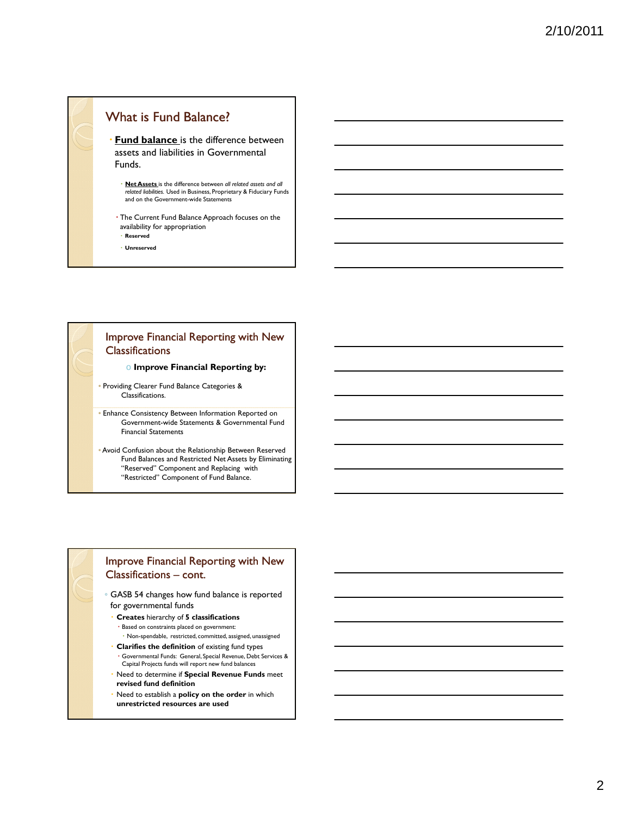### What is Fund Balance?

 **Fund balance** is the difference between assets and liabilities in Governmental Funds.

- Net Assets is the difference between all related assets and all *related liabilities.* Used in Business, Proprietary & Fiduciary Funds and on the Government-wide Statements
- The Current Fund Balance Approach focuses on the availability for appropriation
- **Reserved**
- **Unreserved**

### Improve Financial Reporting with New Classifications

o **Improve Financial Reporting by:**

- Providing Clearer Fund Balance Categories & Classifications.
- Enhance Consistency Between Information Reported on Government-wide Statements & Governmental Fund Financial Statements
- Avoid Confusion about the Relationship Between Reserved Fund Balances and Restricted Net Assets by Eliminating "Reserved" Component and Replacing with "Restricted" Component of Fund Balance.

### Improve Financial Reporting with New Classifications – cont.

◦ GASB 54 changes how fund balance is reported for governmental funds

- **Creates** hierarchy of **5 classifications** Based on constraints placed on government:
	- Non-spendable, restricted, committed, assigned, unassigned
- **Clarifies the definition** of existing fund types Governmental Funds: General, Special Revenue, Debt Services & Capital Projects funds will report new fund balances
- Need to determine if **Special Revenue Funds** meet **revised fund definition**
- Need to establish a **policy on the order** in which **unrestricted resources are used**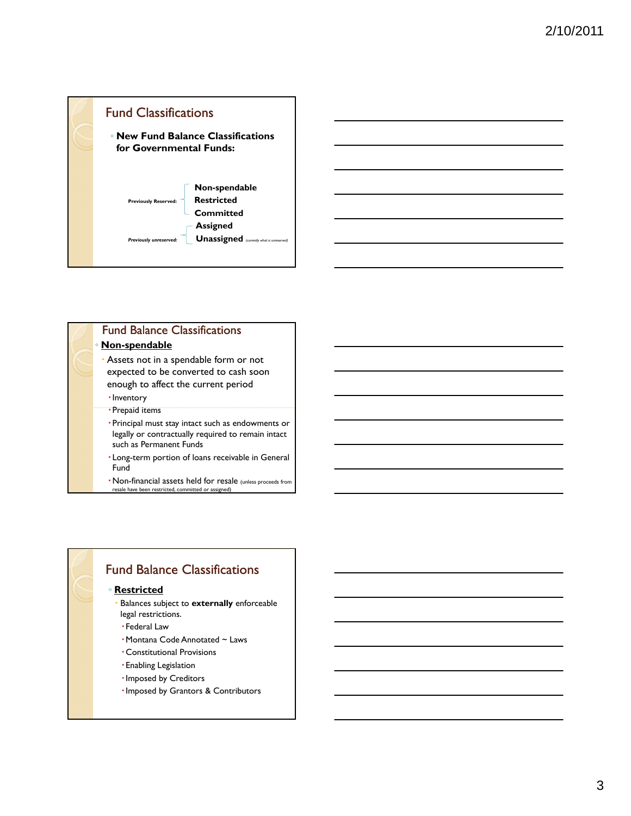

| <b>Fund Balance Classifications</b> |  |
|-------------------------------------|--|
| ∘ Non-spendable                     |  |

- Assets not in a spendable form or not expected to be converted to cash soon enough to affect the current period
- · Inventory
- · Prepaid items
- Principal must stay intact such as endowments or legally or contractually required to remain intact such as Permanent Funds
- Long-term portion of loans receivable in General Fund
- Non-financial assets held for resale (unless proceeds from resale have been restricted, committed or assigned)

# Fund Balance Classifications

### ◦ **Restricted**

- Balances subject to **externally** enforceable legal restrictions.
- Federal Law
- Montana Code Annotated ~ Laws
- Constitutional Provisions
- Enabling Legislation
- · Imposed by Creditors
- Imposed by Grantors & Contributors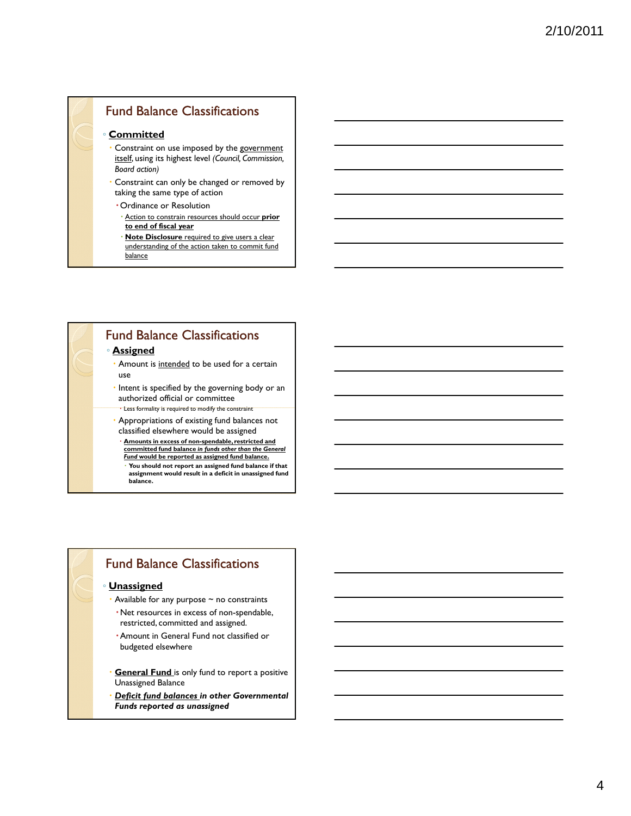# Fund Balance Classifications

### ◦ **Committed**

- Constraint on use imposed by the government itself, using its highest level *(Council, Commission, Board action)*
- Constraint can only be changed or removed by taking the same type of action
- Ordinance or Resolution
- Action to constrain resources should occur **prior to end of fiscal year**
- **Note Disclosure** required to give users a clear understanding of the action taken to commit fund balance

## Fund Balance Classifications

### ◦ **Assigned**

- Amount is intended to be used for a certain use
- $\cdot$  Intent is specified by the governing body or an authorized official or committee
	- $\cdot$  Less formality is required to modify the constraint
- Appropriations of existing fund balances not classified elsewhere would be assigned
	- **Amounts in excess of non-spendable, restricted and committed fund balance** *in funds other than the General Fund* **would be reported as assigned fund balance.**
	- **You should not report an assigned fund balance if that assignment would result in a deficit in unassigned fund balance.**

### Fund Balance Classifications

#### ◦ **Unassigned**

- Available for any purpose ~ no constraints
- Net resources in excess of non-spendable, restricted, committed and assigned.
- Amount in General Fund not classified or budgeted elsewhere
- **General Fund** is only fund to report a positive Unassigned Balance
- *Deficit fund balances in other Governmental Funds reported as unassigned*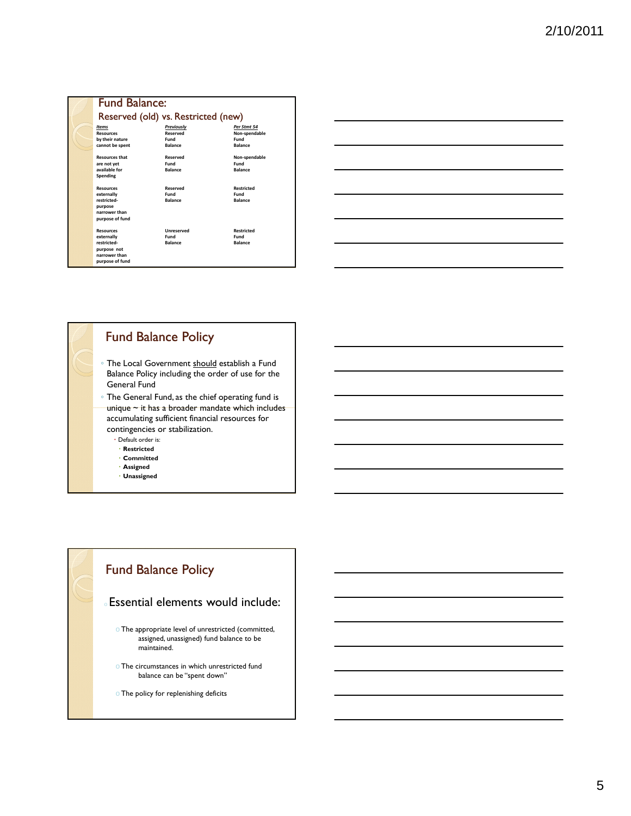| <b>Fund Balance:</b>                                                                             |                                                  |                                                        |  |  |  |
|--------------------------------------------------------------------------------------------------|--------------------------------------------------|--------------------------------------------------------|--|--|--|
| Reserved (old) vs. Restricted (new)                                                              |                                                  |                                                        |  |  |  |
| <b>Items</b><br><b>Resources</b><br>by their nature<br>cannot be spent                           | Previously<br>Reserved<br>Fund<br><b>Balance</b> | Per Stmt 54<br>Non-spendable<br>Fund<br><b>Balance</b> |  |  |  |
| <b>Resources that</b><br>are not yet<br>available for<br>Spending                                | Reserved<br>Fund<br><b>Balance</b>               | Non-spendable<br>Fund<br><b>Balance</b>                |  |  |  |
| <b>Resources</b><br>externally<br>restricted-<br>purpose<br>narrower than<br>purpose of fund     | Reserved<br>Fund<br><b>Balance</b>               | <b>Restricted</b><br>Fund<br><b>Balance</b>            |  |  |  |
| <b>Resources</b><br>externally<br>restricted-<br>purpose not<br>narrower than<br>purpose of fund | <b>Unreserved</b><br>Fund<br><b>Balance</b>      | <b>Restricted</b><br>Fund<br><b>Balance</b>            |  |  |  |

# Fund Balance Policy

- The Local Government should establish a Fund Balance Policy including the order of use for the General Fund
- The General Fund, as the chief operating fund is unique ~ it has a broader mandate which includes accumulating sufficient financial resources for contingencies or stabilization.
	- Default order is:
	- **Restricted**
	- **Committed**
	- **Assigned**
	- **Unassigned**

# Fund Balance Policy

### Essential elements would include:

- $\circ$  The appropriate level of unrestricted (committed, assigned, unassigned) fund balance to be maintained.
- oThe circumstances in which unrestricted fund balance can be "spent down"
- oThe policy for replenishing deficits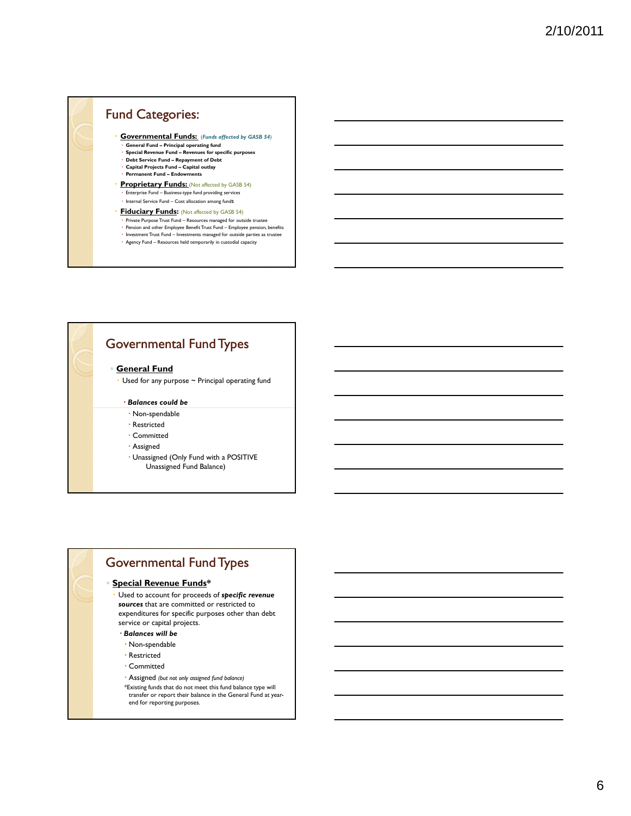# Fund Categories:

- **Governmental Funds:** (*Funds affected by GASB 54*) General Fund Principal operating fund
	-
- **Special Revenue Fund Revenues for specific purposes Debt Service Fund Repayment of Debt**
- **Capital Projects Fund Capital outlay Permanent Fund – Endowments**
- **Proprietary Funds: (Not affected by GASB 54)**
- Enterprise Fund Business-type fund providing services Internal Service Fund – Cost allocation among fundS
- **Fiduciary Funds:** (Not affected by GASB 54)
- Private Purpose Trust Fund Resources managed for outside trustee
- Pension and other Employee Benefit Trust Fund Employee pension, benefits<br>• Investment Trust Fund Investments managed for outside parties as trustee
- Agency Fund Resources held temporarily in custodial capacity

## Governmental Fund Types

#### ◦ **General Fund**

Used for any purpose ~ Principal operating fund

#### *Balances could be*

- Non-spendable
- Restricted
- Committed
- Assigned
- Unassigned (Only Fund with a POSITIVE Unassigned Fund Balance)

# Governmental Fund Types

#### ◦ **Special Revenue Funds\***

- Used to account for proceeds of *specific revenue sources* that are committed or restricted to expenditures for specific purposes other than debt service or capital projects.
- *Balances will be*
- Non-spendable
- Restricted
- Committed
- Assigned *(but not only assigned fund balance)*
- \*Existing funds that do not meet this fund balance type will transfer or report their balance in the General Fund at yearend for reporting purposes.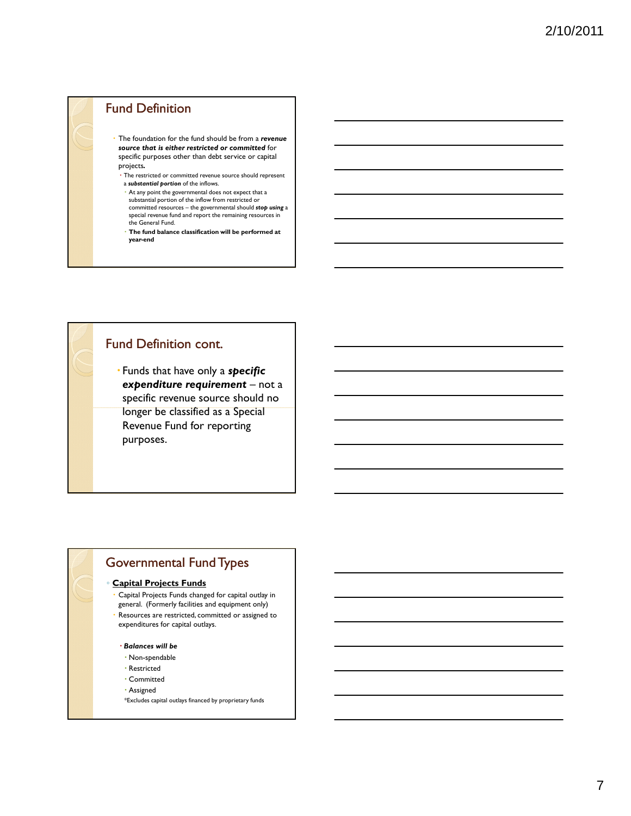## Fund Definition

- The foundation for the fund should be from a *revenue source that is either restricted or committed* for specific purposes other than debt service or capital projects*.*
- The restricted or committed revenue source should represent a **substantial portion** of the inflows.
- At any point the governmental does not expect that a substantial portion of the inflow from restricted or committed resources – the governmental should *stop using* a special revenue fund and report the remaining resources in the General Fund.
- **The fund balance classification will be performed at year-end**

## Fund Definition cont.

 Funds that have only a *specific expenditure requirement* – not a specific revenue source should no longer be classified as a Special Revenue Fund for reporting purposes.

# Governmental Fund Types

#### ◦ **Capital Projects Funds**

- Capital Projects Funds changed for capital outlay in general. (Formerly facilities and equipment only)
- Resources are restricted, committed or assigned to expenditures for capital outlays.

#### *Balances will be*

- Non-spendable
- Restricted
- Committed
- Assigned
- \*Excludes capital outlays financed by proprietary funds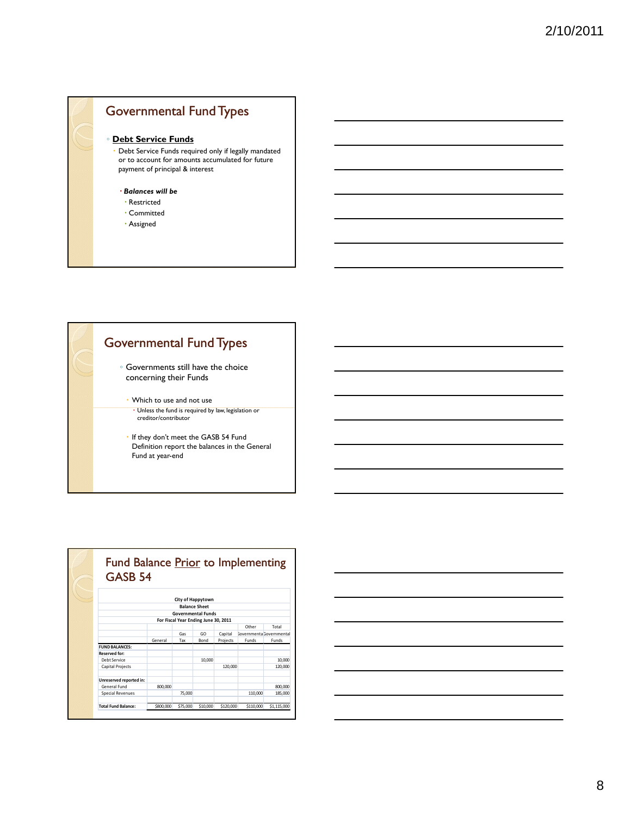



| Fund Balance Prior to Implementing<br>GASB <sub>54</sub>          |           |                      |             |           |                                 |             |  |
|-------------------------------------------------------------------|-----------|----------------------|-------------|-----------|---------------------------------|-------------|--|
|                                                                   |           | City of Happytown    |             |           |                                 |             |  |
|                                                                   |           | <b>Balance Sheet</b> |             |           |                                 |             |  |
| <b>Governmental Funds</b><br>For Fiscal Year Ending June 30, 2011 |           |                      |             |           |                                 |             |  |
|                                                                   |           |                      |             |           |                                 |             |  |
|                                                                   |           | Gas                  | GO          | Capital   | <b>Sovernmenta Governmental</b> |             |  |
|                                                                   | General   | Tax                  | <b>Bond</b> | Projects  | Funds                           | Funds       |  |
| <b>FUND BALANCES:</b>                                             |           |                      |             |           |                                 |             |  |
| Reserved for:                                                     |           |                      |             |           |                                 |             |  |
| Debt Service                                                      |           |                      | 10,000      |           |                                 | 10,000      |  |
| <b>Capital Projects</b>                                           |           |                      |             | 120,000   |                                 | 120,000     |  |
| Unreserved reported in:                                           |           |                      |             |           |                                 |             |  |
| General Fund                                                      | 800,000   |                      |             |           |                                 | 800.000     |  |
| <b>Special Revenues</b>                                           |           | 75,000               |             |           | 110,000                         | 185.000     |  |
| Total Fund Balance:                                               | \$800,000 | \$75,000             | \$10,000    | \$120,000 | \$110,000                       | \$1.115,000 |  |

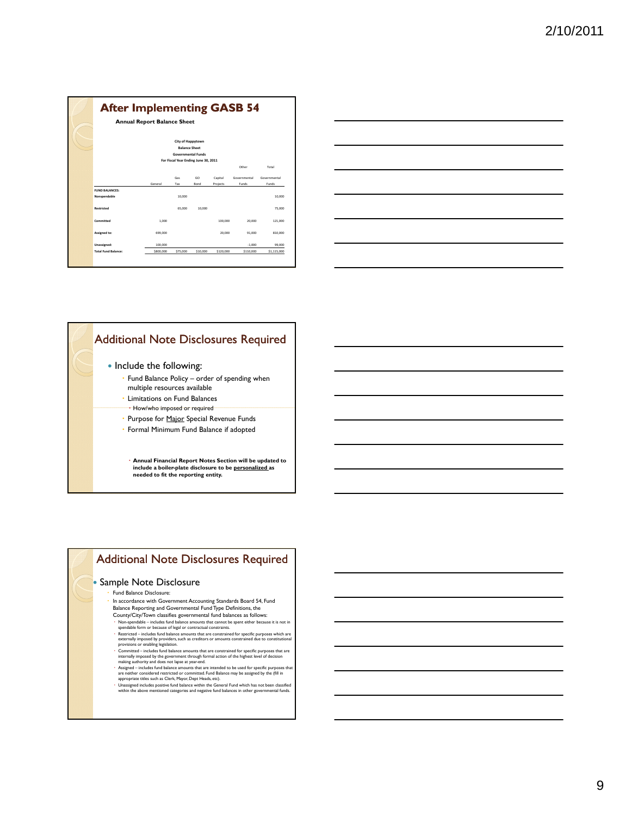|                            | <b>Annual Report Balance Sheet</b> |                                           |          |           |              |              |
|----------------------------|------------------------------------|-------------------------------------------|----------|-----------|--------------|--------------|
|                            |                                    | City of Happytown<br><b>Balance Sheet</b> |          |           |              |              |
|                            |                                    | <b>Governmental Funds</b>                 |          |           |              |              |
|                            |                                    | For Fiscal Year Ending June 30, 2011      |          |           |              |              |
|                            |                                    |                                           |          |           | Other        | Total        |
|                            |                                    | Gas                                       | GO       | Capital   | Governmental | Governmental |
|                            | General                            | Tax                                       | Bond     | Projects  | Funds        | Funds        |
| <b>FUND BALANCES:</b>      |                                    |                                           |          |           |              |              |
| Nonspendable               |                                    | 10,000                                    |          |           |              | 10,000       |
| Restricted                 |                                    | 65,000                                    | 10.000   |           |              | 75,000       |
| Committed                  | 1.000                              |                                           |          | 100,000   | 20,000       | 121,000      |
| Assigned to:               | 699.000                            |                                           |          | 20,000    | 91,000       | 810,000      |
| Unassigned:                | 100,000                            |                                           |          |           | $-1.000$     | 99,000       |
| <b>Total Fund Balance:</b> | \$800,000                          | \$75,000                                  | \$10,000 | \$120,000 | \$110,000    | \$1,115,000  |



## Additional Note Disclosures Required

- Include the following:
	- Fund Balance Policy order of spending when multiple resources available
	- Limitations on Fund Balances
	- How/who imposed or required
	- Purpose for Major Special Revenue Funds
	- Formal Minimum Fund Balance if adopted
	- **Annual Financial Report Notes Section will be updated to include a boiler-plate disclosure to be personalized as needed to fit the reporting entity.**
		-

## Additional Note Disclosures Required

#### • Sample Note Disclosure

#### Fund Balance Disclosure:

- In accordance with Government Accounting Standards Board 54, Fund Balance Reporting and Governmental Fund Type Definitions, the County/City/Town classifies governmental fund balances as follows:
- 
- Non-spendable includes fund balance amounts that cannot be spent either because it is not in<br>spendable form or because of legal or contractual constraints.<br>Perstricted includes fund balance amounts that are constrained
- 
- Assigned includes fund balance amounts that are intended to be used for specific purposes that are neither considered restricted or committed. Fund Balance may be assigned by the (fill in
- are neither considered restricted or committed. Fund Data appropriate titles such as Clerk, Mayor, Dept Heads, etc).
- Unassigned includes positive fund balance within the General Fund which has not been classified within the above mentioned categories and negative fund balances in other governmental funds.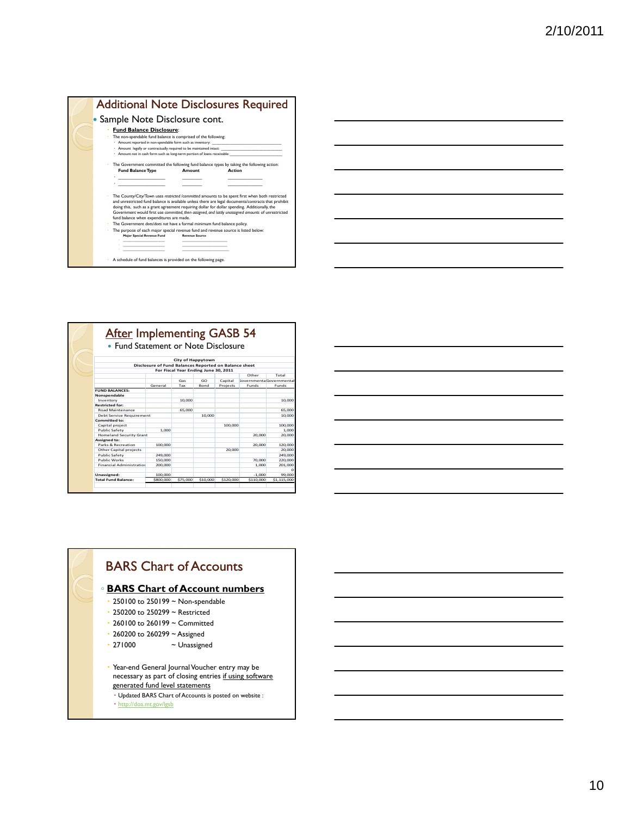

| <b>After Implementing GASB 54</b>   |                                                       |                                      |             |           |                                 |             |
|-------------------------------------|-------------------------------------------------------|--------------------------------------|-------------|-----------|---------------------------------|-------------|
| • Fund Statement or Note Disclosure |                                                       |                                      |             |           |                                 |             |
|                                     |                                                       | City of Happytown                    |             |           |                                 |             |
|                                     | Disclosure of Fund Balances Reported on Balance sheet |                                      |             |           |                                 |             |
|                                     |                                                       | For Fiscal Year Ending June 30, 2011 |             |           |                                 |             |
|                                     |                                                       |                                      |             |           | Other                           | Total       |
|                                     |                                                       | Gas                                  | GO          | Capital   | <b>Sovernmenta Governmental</b> |             |
|                                     | General                                               | Tax                                  | <b>Bond</b> | Projects  | <b>Funds</b>                    | Funds       |
| <b>FUND BALANCES:</b>               |                                                       |                                      |             |           |                                 |             |
| Nonspendable                        |                                                       |                                      |             |           |                                 |             |
| Inventory                           |                                                       | 10,000                               |             |           |                                 | 10,000      |
| <b>Restricted for:</b>              |                                                       |                                      |             |           |                                 |             |
| <b>Road Maintenance</b>             |                                                       | 65,000                               |             |           |                                 | 65,000      |
| Debt Service Requirement            |                                                       |                                      | 10,000      |           |                                 | 10,000      |
| Committed to:                       |                                                       |                                      |             |           |                                 |             |
| Capital project                     |                                                       |                                      |             | 100,000   |                                 | 100,000     |
| Public Safety                       | 1.000                                                 |                                      |             |           |                                 | 1.000       |
| <b>Homeland Security Grant</b>      |                                                       |                                      |             |           | 20.000                          | 20,000      |
| Assigned to:                        |                                                       |                                      |             |           |                                 |             |
| Parks & Recreation                  | 100,000                                               |                                      |             |           | 20,000                          | 120,000     |
| Other Capital projects              |                                                       |                                      |             | 20,000    |                                 | 20,000      |
| Public Safety                       | 249.000                                               |                                      |             |           |                                 | 249,000     |
| <b>Public Works</b>                 | 150,000                                               |                                      |             |           | 70,000                          | 220,000     |
| Financial Administration            | 200,000                                               |                                      |             |           | 1.000                           | 201.000     |
|                                     |                                                       |                                      |             |           |                                 | $\Omega$    |
| Unassigned:                         | 100,000                                               |                                      |             |           | $-1.000$                        | 99,000      |
| <b>Total Fund Balance:</b>          | \$800,000                                             | \$75,000                             | \$10,000    | \$120,000 | \$110,000                       | \$1,115,000 |

# BARS Chart of Accounts

### ◦ **BARS Chart of Account numbers**

- 250100 to 250199 ~ Non-spendable
- 250200 to 250299 ~ Restricted
- 260100 to 260199 ~ Committed
- 260200 to 260299 ~ Assigned
- 271000 ~ Unassigned
- Year-end General Journal Voucher entry may be necessary as part of closing entries if using software generated fund level statements
	- Updated BARS Chart of Accounts is posted on website :
	- http://doa.mt.gov/lgsb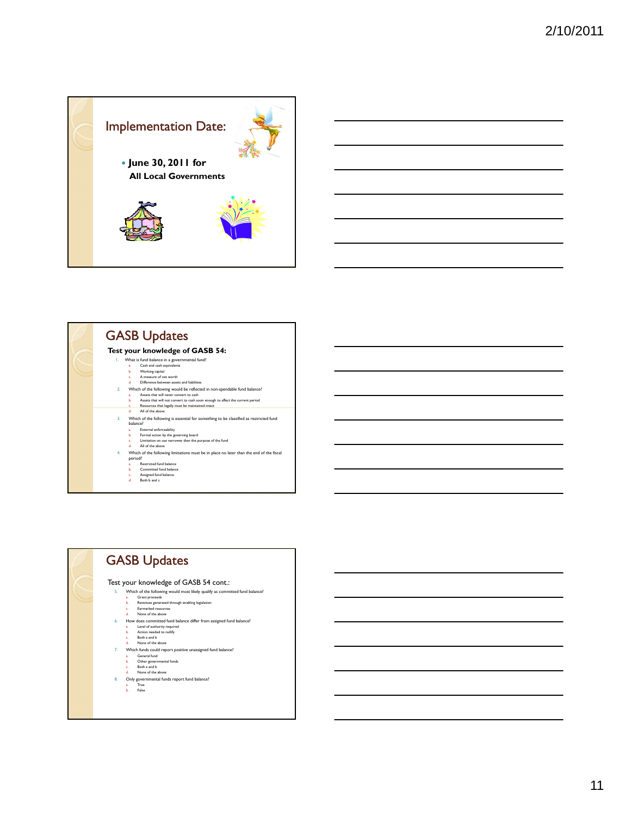





| <b>GASB Updates</b>                                                                                                                                                                                                                                                                                                                                                                                                                                                            |
|--------------------------------------------------------------------------------------------------------------------------------------------------------------------------------------------------------------------------------------------------------------------------------------------------------------------------------------------------------------------------------------------------------------------------------------------------------------------------------|
| Test your knowledge of GASB 54 cont.:<br>5.<br>Which of the following would most likely qualify as committed fund balance?<br>Grant proceeds<br>á.<br>Revenues generated through enabling legislation<br>ь.<br><b>Farmarked resources</b><br>c.<br>None of the above<br>d.<br>How does committed fund balance differ from assigned fund balance?<br>6.<br>Level of authority required<br>ā.<br>Action needed to nullify<br>ь.<br>Both a and b<br>c.<br>None of the above<br>d. |
| 7.<br>Which funds could report positive unassigned fund balance?<br>General fund<br>a.<br>Other governmental funds<br>ь.<br>Both a and b<br>c.<br>None of the above<br>d.<br>8.<br>Only governmental funds report fund balance?<br>True<br>a.<br>False<br>ь.                                                                                                                                                                                                                   |